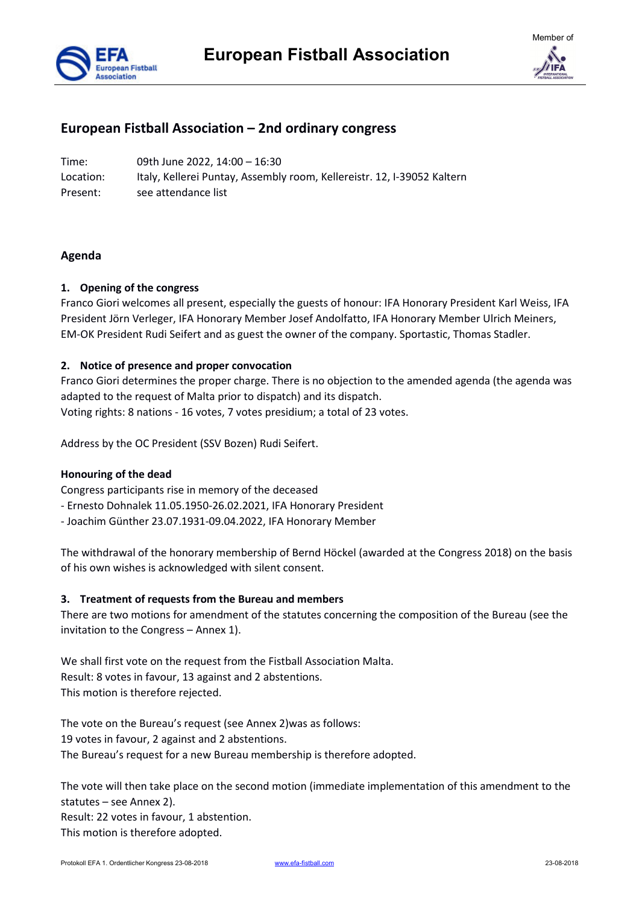



# **European Fistball Association – 2nd ordinary congress**

Time: 09th June 2022, 14:00 – 16:30 Location: Italy, Kellerei Puntay, Assembly room, Kellereistr. 12, I-39052 Kaltern Present: see attendance list

# **Agenda**

# **1. Opening of the congress**

Franco Giori welcomes all present, especially the guests of honour: IFA Honorary President Karl Weiss, IFA President Jörn Verleger, IFA Honorary Member Josef Andolfatto, IFA Honorary Member Ulrich Meiners, EM-OK President Rudi Seifert and as guest the owner of the company. Sportastic, Thomas Stadler.

# **2. Notice of presence and proper convocation**

Franco Giori determines the proper charge. There is no objection to the amended agenda (the agenda was adapted to the request of Malta prior to dispatch) and its dispatch. Voting rights: 8 nations - 16 votes, 7 votes presidium; a total of 23 votes.

Address by the OC President (SSV Bozen) Rudi Seifert.

#### **Honouring of the dead**

Congress participants rise in memory of the deceased

- Ernesto Dohnalek 11.05.1950-26.02.2021, IFA Honorary President
- Joachim Günther 23.07.1931-09.04.2022, IFA Honorary Member

The withdrawal of the honorary membership of Bernd Höckel (awarded at the Congress 2018) on the basis of his own wishes is acknowledged with silent consent.

#### **3. Treatment of requests from the Bureau and members**

There are two motions for amendment of the statutes concerning the composition of the Bureau (see the invitation to the Congress – Annex 1).

We shall first vote on the request from the Fistball Association Malta. Result: 8 votes in favour, 13 against and 2 abstentions. This motion is therefore rejected.

The vote on the Bureau's request (see Annex 2)was as follows: 19 votes in favour, 2 against and 2 abstentions. The Bureau's request for a new Bureau membership is therefore adopted.

The vote will then take place on the second motion (immediate implementation of this amendment to the statutes – see Annex 2).

Result: 22 votes in favour, 1 abstention. This motion is therefore adopted.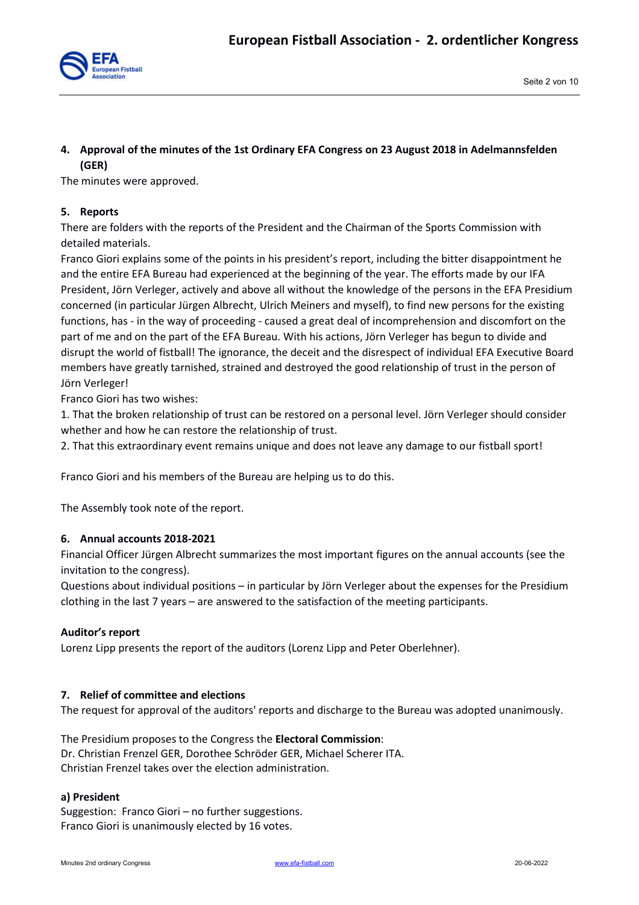

# **4. Approval of the minutes of the 1st Ordinary EFA Congress on 23 August 2018 in Adelmannsfelden (GER)**

The minutes were approved.

## **5. Reports**

There are folders with the reports of the President and the Chairman of the Sports Commission with detailed materials.

Franco Giori explains some of the points in his president's report, including the bitter disappointment he and the entire EFA Bureau had experienced at the beginning of the year. The efforts made by our IFA President, Jörn Verleger, actively and above all without the knowledge of the persons in the EFA Presidium concerned (in particular Jürgen Albrecht, Ulrich Meiners and myself), to find new persons for the existing functions, has - in the way of proceeding - caused a great deal of incomprehension and discomfort on the part of me and on the part of the EFA Bureau. With his actions, Jörn Verleger has begun to divide and disrupt the world of fistball! The ignorance, the deceit and the disrespect of individual EFA Executive Board members have greatly tarnished, strained and destroyed the good relationship of trust in the person of Jörn Verleger!

Franco Giori has two wishes:

1. That the broken relationship of trust can be restored on a personal level. Jörn Verleger should consider whether and how he can restore the relationship of trust.

2. That this extraordinary event remains unique and does not leave any damage to our fistball sport!

Franco Giori and his members of the Bureau are helping us to do this.

The Assembly took note of the report.

#### **6. Annual accounts 2018-2021**

Financial Officer Jürgen Albrecht summarizes the most important figures on the annual accounts (see the invitation to the congress).

Questions about individual positions – in particular by Jörn Verleger about the expenses for the Presidium clothing in the last 7 years – are answered to the satisfaction of the meeting participants.

#### **Auditor's report**

Lorenz Lipp presents the report of the auditors (Lorenz Lipp and Peter Oberlehner).

#### **7. Relief of committee and elections**

The request for approval of the auditors' reports and discharge to the Bureau was adopted unanimously.

The Presidium proposes to the Congress the **Electoral Commission**: Dr. Christian Frenzel GER, Dorothee Schröder GER, Michael Scherer ITA. Christian Frenzel takes over the election administration.

#### **a) President**

Suggestion: Franco Giori – no further suggestions. Franco Giori is unanimously elected by 16 votes.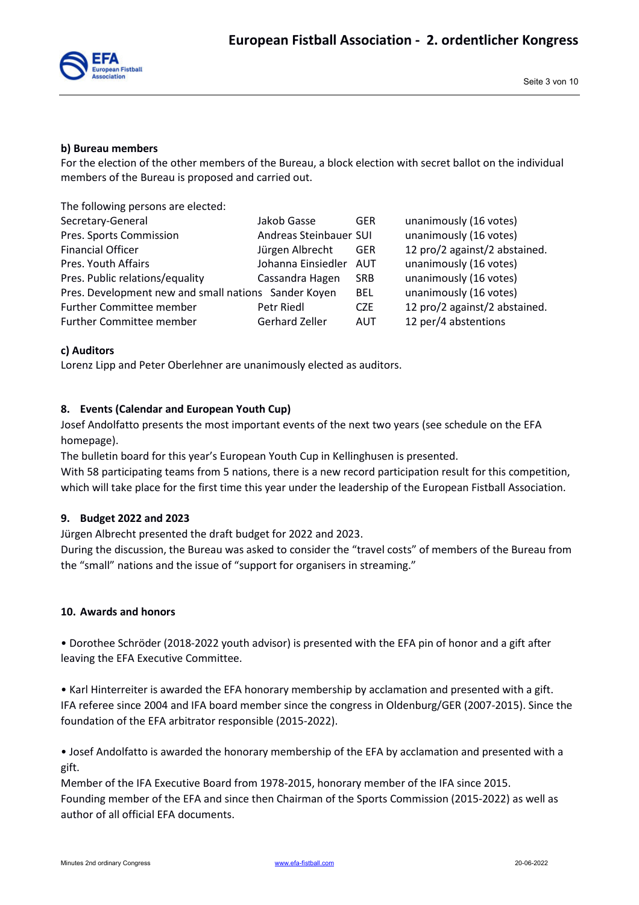

#### **b) Bureau members**

For the election of the other members of the Bureau, a block election with secret ballot on the individual members of the Bureau is proposed and carried out.

The following persons are elected:

| Secretary-General                                    | Jakob Gasse            | <b>GER</b> | unanimously (16 votes)        |
|------------------------------------------------------|------------------------|------------|-------------------------------|
| Pres. Sports Commission                              | Andreas Steinbauer SUI |            | unanimously (16 votes)        |
| <b>Financial Officer</b>                             | Jürgen Albrecht        | <b>GER</b> | 12 pro/2 against/2 abstained. |
| Pres. Youth Affairs                                  | Johanna Einsiedler     | AUT        | unanimously (16 votes)        |
| Pres. Public relations/equality                      | Cassandra Hagen        | <b>SRB</b> | unanimously (16 votes)        |
| Pres. Development new and small nations Sander Koyen |                        | <b>BEL</b> | unanimously (16 votes)        |
| <b>Further Committee member</b>                      | Petr Riedl             | <b>CZE</b> | 12 pro/2 against/2 abstained. |
| <b>Further Committee member</b>                      | Gerhard Zeller         | <b>AUT</b> | 12 per/4 abstentions          |

#### **c) Auditors**

Lorenz Lipp and Peter Oberlehner are unanimously elected as auditors.

#### **8. Events (Calendar and European Youth Cup)**

Josef Andolfatto presents the most important events of the next two years (see schedule on the EFA homepage).

The bulletin board for this year's European Youth Cup in Kellinghusen is presented.

With 58 participating teams from 5 nations, there is a new record participation result for this competition, which will take place for the first time this year under the leadership of the European Fistball Association.

#### **9. Budget 2022 and 2023**

Jürgen Albrecht presented the draft budget for 2022 and 2023.

During the discussion, the Bureau was asked to consider the "travel costs" of members of the Bureau from the "small" nations and the issue of "support for organisers in streaming."

#### **10. Awards and honors**

• Dorothee Schröder (2018-2022 youth advisor) is presented with the EFA pin of honor and a gift after leaving the EFA Executive Committee.

• Karl Hinterreiter is awarded the EFA honorary membership by acclamation and presented with a gift. IFA referee since 2004 and IFA board member since the congress in Oldenburg/GER (2007-2015). Since the foundation of the EFA arbitrator responsible (2015-2022).

• Josef Andolfatto is awarded the honorary membership of the EFA by acclamation and presented with a gift.

Member of the IFA Executive Board from 1978-2015, honorary member of the IFA since 2015. Founding member of the EFA and since then Chairman of the Sports Commission (2015-2022) as well as author of all official EFA documents.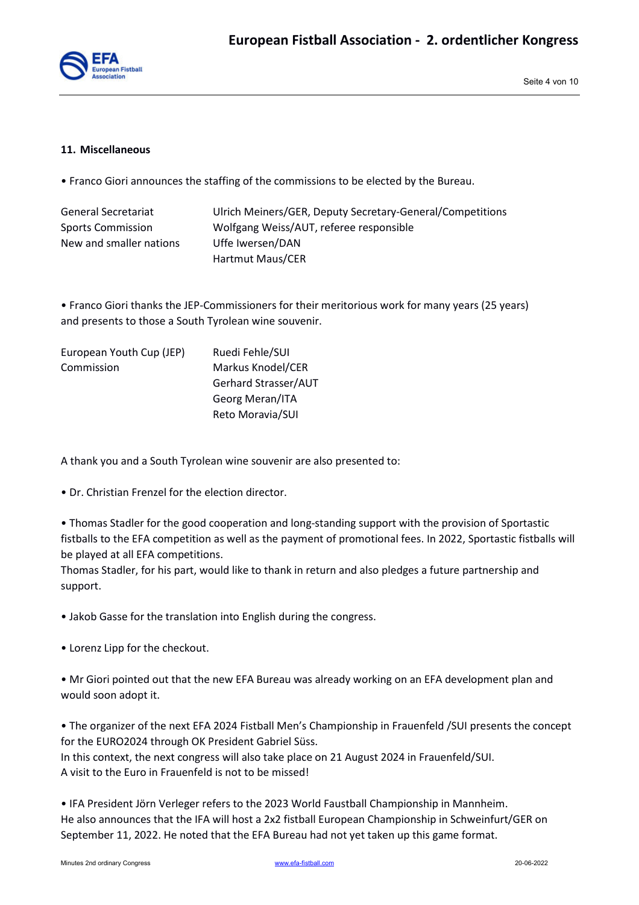

#### **11. Miscellaneous**

• Franco Giori announces the staffing of the commissions to be elected by the Bureau.

| General Secretariat     | Ulrich Meiners/GER, Deputy Secretary-General/Competitions |
|-------------------------|-----------------------------------------------------------|
| Sports Commission       | Wolfgang Weiss/AUT, referee responsible                   |
| New and smaller nations | Uffe Iwersen/DAN                                          |
|                         | Hartmut Maus/CER                                          |

• Franco Giori thanks the JEP-Commissioners for their meritorious work for many years (25 years) and presents to those a South Tyrolean wine souvenir.

| European Youth Cup (JEP) | Ruedi Fehle/SUI      |
|--------------------------|----------------------|
| Commission               | Markus Knodel/CER    |
|                          | Gerhard Strasser/AUT |
|                          | Georg Meran/ITA      |
|                          | Reto Moravia/SUI     |

A thank you and a South Tyrolean wine souvenir are also presented to:

• Dr. Christian Frenzel for the election director.

• Thomas Stadler for the good cooperation and long-standing support with the provision of Sportastic fistballs to the EFA competition as well as the payment of promotional fees. In 2022, Sportastic fistballs will be played at all EFA competitions.

Thomas Stadler, for his part, would like to thank in return and also pledges a future partnership and support.

• Jakob Gasse for the translation into English during the congress.

• Lorenz Lipp for the checkout.

• Mr Giori pointed out that the new EFA Bureau was already working on an EFA development plan and would soon adopt it.

• The organizer of the next EFA 2024 Fistball Men's Championship in Frauenfeld /SUI presents the concept for the EURO2024 through OK President Gabriel Süss.

In this context, the next congress will also take place on 21 August 2024 in Frauenfeld/SUI. A visit to the Euro in Frauenfeld is not to be missed!

• IFA President Jörn Verleger refers to the 2023 World Faustball Championship in Mannheim. He also announces that the IFA will host a 2x2 fistball European Championship in Schweinfurt/GER on September 11, 2022. He noted that the EFA Bureau had not yet taken up this game format.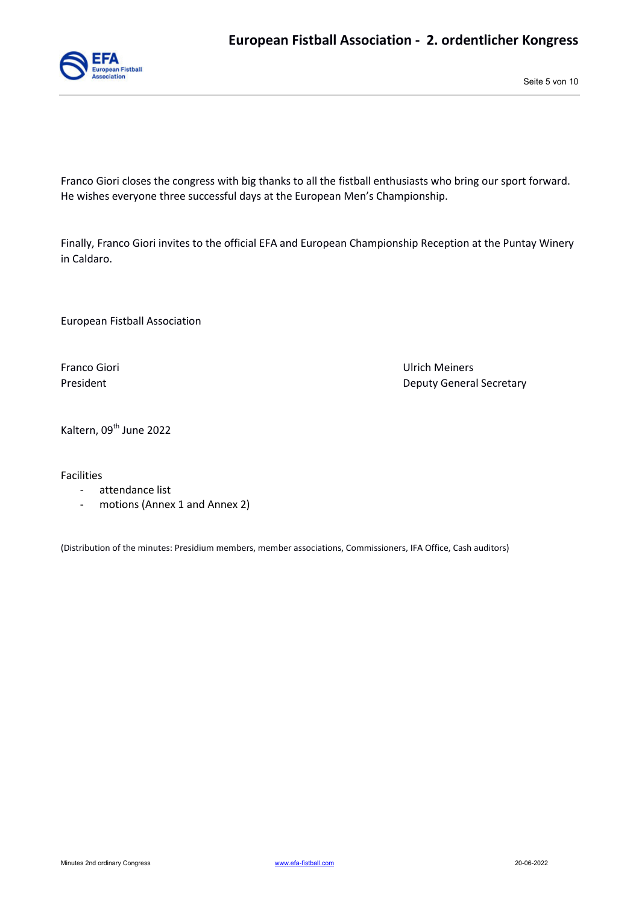

Seite 5 von 10

Franco Giori closes the congress with big thanks to all the fistball enthusiasts who bring our sport forward. He wishes everyone three successful days at the European Men's Championship.

Finally, Franco Giori invites to the official EFA and European Championship Reception at the Puntay Winery in Caldaro.

European Fistball Association

Franco Giori Ulrich Meiners President **Deputy General Secretary** 

Kaltern, 09<sup>th</sup> June 2022

Facilities

- attendance list
- motions (Annex 1 and Annex 2)

(Distribution of the minutes: Presidium members, member associations, Commissioners, IFA Office, Cash auditors)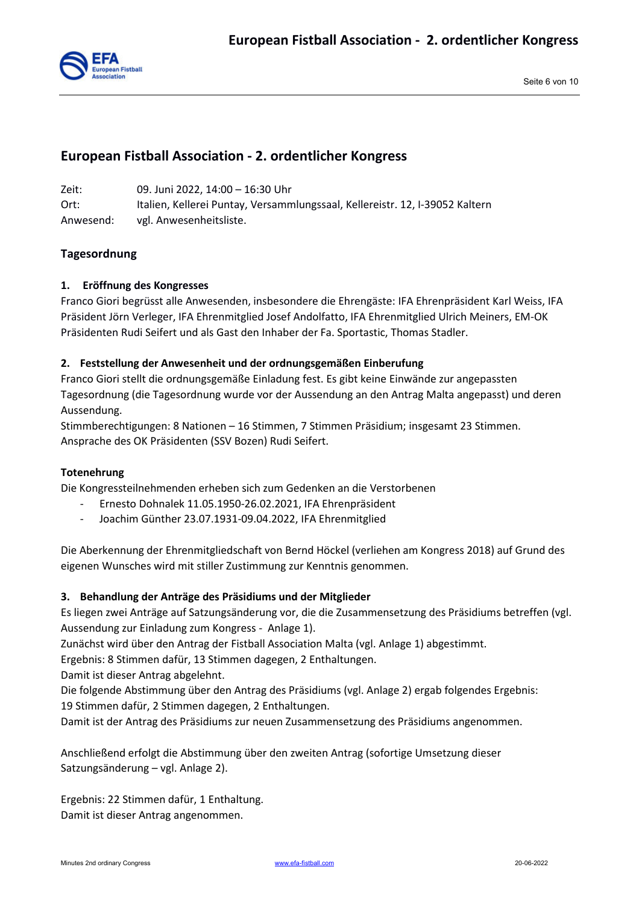

# **European Fistball Association - 2. ordentlicher Kongress**

Zeit: 09. Juni 2022, 14:00 – 16:30 Uhr Ort: Italien, Kellerei Puntay, Versammlungssaal, Kellereistr. 12, I-39052 Kaltern Anwesend: vgl. Anwesenheitsliste.

# **Tagesordnung**

#### **1. Eröffnung des Kongresses**

Franco Giori begrüsst alle Anwesenden, insbesondere die Ehrengäste: IFA Ehrenpräsident Karl Weiss, IFA Präsident Jörn Verleger, IFA Ehrenmitglied Josef Andolfatto, IFA Ehrenmitglied Ulrich Meiners, EM-OK Präsidenten Rudi Seifert und als Gast den Inhaber der Fa. Sportastic, Thomas Stadler.

#### **2. Feststellung der Anwesenheit und der ordnungsgemäßen Einberufung**

Franco Giori stellt die ordnungsgemäße Einladung fest. Es gibt keine Einwände zur angepassten Tagesordnung (die Tagesordnung wurde vor der Aussendung an den Antrag Malta angepasst) und deren Aussendung.

Stimmberechtigungen: 8 Nationen – 16 Stimmen, 7 Stimmen Präsidium; insgesamt 23 Stimmen. Ansprache des OK Präsidenten (SSV Bozen) Rudi Seifert.

#### **Totenehrung**

Die Kongressteilnehmenden erheben sich zum Gedenken an die Verstorbenen

- Ernesto Dohnalek 11.05.1950-26.02.2021, IFA Ehrenpräsident
- Joachim Günther 23.07.1931-09.04.2022, IFA Ehrenmitglied

Die Aberkennung der Ehrenmitgliedschaft von Bernd Höckel (verliehen am Kongress 2018) auf Grund des eigenen Wunsches wird mit stiller Zustimmung zur Kenntnis genommen.

#### **3. Behandlung der Anträge des Präsidiums und der Mitglieder**

Es liegen zwei Anträge auf Satzungsänderung vor, die die Zusammensetzung des Präsidiums betreffen (vgl. Aussendung zur Einladung zum Kongress - Anlage 1).

Zunächst wird über den Antrag der Fistball Association Malta (vgl. Anlage 1) abgestimmt.

Ergebnis: 8 Stimmen dafür, 13 Stimmen dagegen, 2 Enthaltungen.

Damit ist dieser Antrag abgelehnt.

Die folgende Abstimmung über den Antrag des Präsidiums (vgl. Anlage 2) ergab folgendes Ergebnis: 19 Stimmen dafür, 2 Stimmen dagegen, 2 Enthaltungen.

Damit ist der Antrag des Präsidiums zur neuen Zusammensetzung des Präsidiums angenommen.

Anschließend erfolgt die Abstimmung über den zweiten Antrag (sofortige Umsetzung dieser Satzungsänderung – vgl. Anlage 2).

Ergebnis: 22 Stimmen dafür, 1 Enthaltung. Damit ist dieser Antrag angenommen.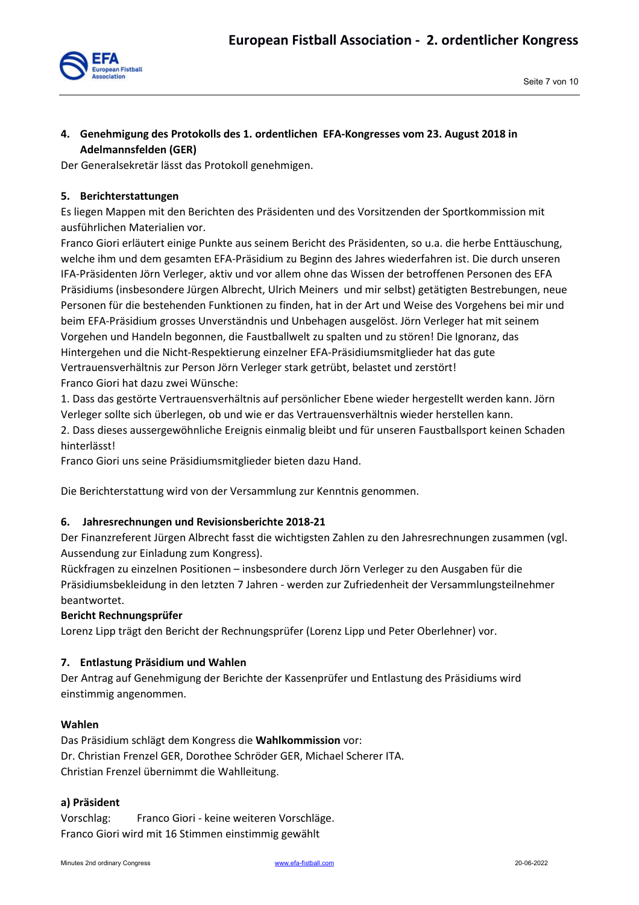

# **4. Genehmigung des Protokolls des 1. ordentlichen EFA-Kongresses vom 23. August 2018 in Adelmannsfelden (GER)**

Der Generalsekretär lässt das Protokoll genehmigen.

# **5. Berichterstattungen**

Es liegen Mappen mit den Berichten des Präsidenten und des Vorsitzenden der Sportkommission mit ausführlichen Materialien vor.

Franco Giori erläutert einige Punkte aus seinem Bericht des Präsidenten, so u.a. die herbe Enttäuschung, welche ihm und dem gesamten EFA-Präsidium zu Beginn des Jahres wiederfahren ist. Die durch unseren IFA-Präsidenten Jörn Verleger, aktiv und vor allem ohne das Wissen der betroffenen Personen des EFA Präsidiums (insbesondere Jürgen Albrecht, Ulrich Meiners und mir selbst) getätigten Bestrebungen, neue Personen für die bestehenden Funktionen zu finden, hat in der Art und Weise des Vorgehens bei mir und beim EFA-Präsidium grosses Unverständnis und Unbehagen ausgelöst. Jörn Verleger hat mit seinem Vorgehen und Handeln begonnen, die Faustballwelt zu spalten und zu stören! Die Ignoranz, das Hintergehen und die Nicht-Respektierung einzelner EFA-Präsidiumsmitglieder hat das gute Vertrauensverhältnis zur Person Jörn Verleger stark getrübt, belastet und zerstört! Franco Giori hat dazu zwei Wünsche:

1. Dass das gestörte Vertrauensverhältnis auf persönlicher Ebene wieder hergestellt werden kann. Jörn Verleger sollte sich überlegen, ob und wie er das Vertrauensverhältnis wieder herstellen kann.

2. Dass dieses aussergewöhnliche Ereignis einmalig bleibt und für unseren Faustballsport keinen Schaden hinterlässt!

Franco Giori uns seine Präsidiumsmitglieder bieten dazu Hand.

Die Berichterstattung wird von der Versammlung zur Kenntnis genommen.

#### **6. Jahresrechnungen und Revisionsberichte 2018-21**

Der Finanzreferent Jürgen Albrecht fasst die wichtigsten Zahlen zu den Jahresrechnungen zusammen (vgl. Aussendung zur Einladung zum Kongress).

Rückfragen zu einzelnen Positionen – insbesondere durch Jörn Verleger zu den Ausgaben für die Präsidiumsbekleidung in den letzten 7 Jahren - werden zur Zufriedenheit der Versammlungsteilnehmer beantwortet.

#### **Bericht Rechnungsprüfer**

Lorenz Lipp trägt den Bericht der Rechnungsprüfer (Lorenz Lipp und Peter Oberlehner) vor.

#### **7. Entlastung Präsidium und Wahlen**

Der Antrag auf Genehmigung der Berichte der Kassenprüfer und Entlastung des Präsidiums wird einstimmig angenommen.

#### **Wahlen**

Das Präsidium schlägt dem Kongress die **Wahlkommission** vor: Dr. Christian Frenzel GER, Dorothee Schröder GER, Michael Scherer ITA. Christian Frenzel übernimmt die Wahlleitung.

#### **a) Präsident**

Vorschlag: Franco Giori - keine weiteren Vorschläge. Franco Giori wird mit 16 Stimmen einstimmig gewählt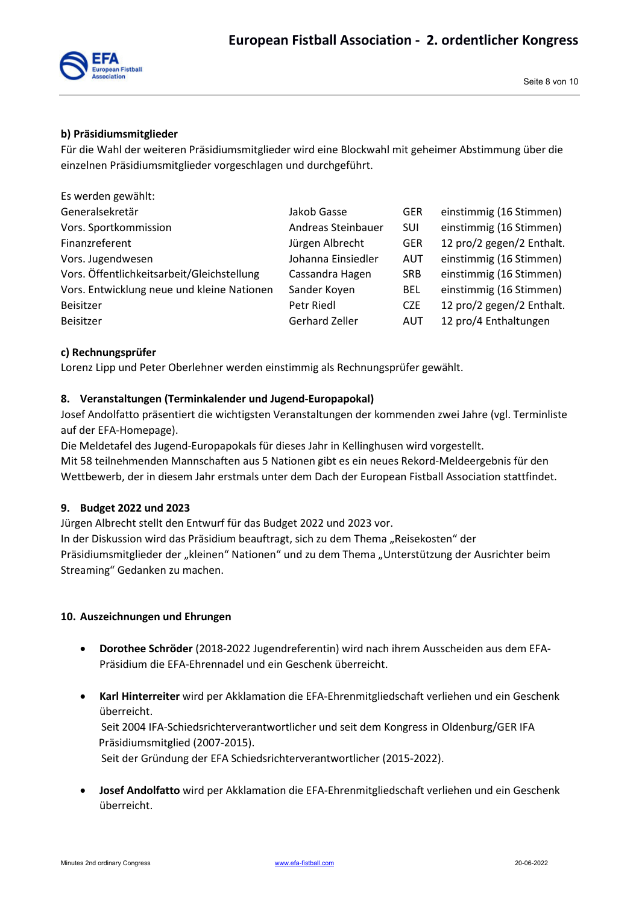## **b) Präsidiumsmitglieder**

Für die Wahl der weiteren Präsidiumsmitglieder wird eine Blockwahl mit geheimer Abstimmung über die einzelnen Präsidiumsmitglieder vorgeschlagen und durchgeführt.

| Es werden gewählt:                         |                    |            |                           |
|--------------------------------------------|--------------------|------------|---------------------------|
| Generalsekretär                            | Jakob Gasse        | <b>GER</b> | einstimmig (16 Stimmen)   |
| Vors. Sportkommission                      | Andreas Steinbauer | <b>SUI</b> | einstimmig (16 Stimmen)   |
| Finanzreferent                             | Jürgen Albrecht    | <b>GER</b> | 12 pro/2 gegen/2 Enthalt. |
| Vors. Jugendwesen                          | Johanna Einsiedler | <b>AUT</b> | einstimmig (16 Stimmen)   |
| Vors. Öffentlichkeitsarbeit/Gleichstellung | Cassandra Hagen    | <b>SRB</b> | einstimmig (16 Stimmen)   |
| Vors. Entwicklung neue und kleine Nationen | Sander Koyen       | <b>BEL</b> | einstimmig (16 Stimmen)   |
| Beisitzer                                  | Petr Riedl         | <b>CZE</b> | 12 pro/2 gegen/2 Enthalt. |
| Beisitzer                                  | Gerhard Zeller     | AUT        | 12 pro/4 Enthaltungen     |

# **c) Rechnungsprüfer**

Lorenz Lipp und Peter Oberlehner werden einstimmig als Rechnungsprüfer gewählt.

# **8. Veranstaltungen (Terminkalender und Jugend-Europapokal)**

Josef Andolfatto präsentiert die wichtigsten Veranstaltungen der kommenden zwei Jahre (vgl. Terminliste auf der EFA-Homepage).

Die Meldetafel des Jugend-Europapokals für dieses Jahr in Kellinghusen wird vorgestellt. Mit 58 teilnehmenden Mannschaften aus 5 Nationen gibt es ein neues Rekord-Meldeergebnis für den Wettbewerb, der in diesem Jahr erstmals unter dem Dach der European Fistball Association stattfindet.

#### **9. Budget 2022 und 2023**

Jürgen Albrecht stellt den Entwurf für das Budget 2022 und 2023 vor.

In der Diskussion wird das Präsidium beauftragt, sich zu dem Thema "Reisekosten" der Präsidiumsmitglieder der "kleinen" Nationen" und zu dem Thema "Unterstützung der Ausrichter beim Streaming" Gedanken zu machen.

#### **10. Auszeichnungen und Ehrungen**

- **Dorothee Schröder** (2018-2022 Jugendreferentin) wird nach ihrem Ausscheiden aus dem EFA-Präsidium die EFA-Ehrennadel und ein Geschenk überreicht.
- **Karl Hinterreiter** wird per Akklamation die EFA-Ehrenmitgliedschaft verliehen und ein Geschenk überreicht. Seit 2004 IFA-Schiedsrichterverantwortlicher und seit dem Kongress in Oldenburg/GER IFA Präsidiumsmitglied (2007-2015). Seit der Gründung der EFA Schiedsrichterverantwortlicher (2015-2022).
- **Josef Andolfatto** wird per Akklamation die EFA-Ehrenmitgliedschaft verliehen und ein Geschenk überreicht.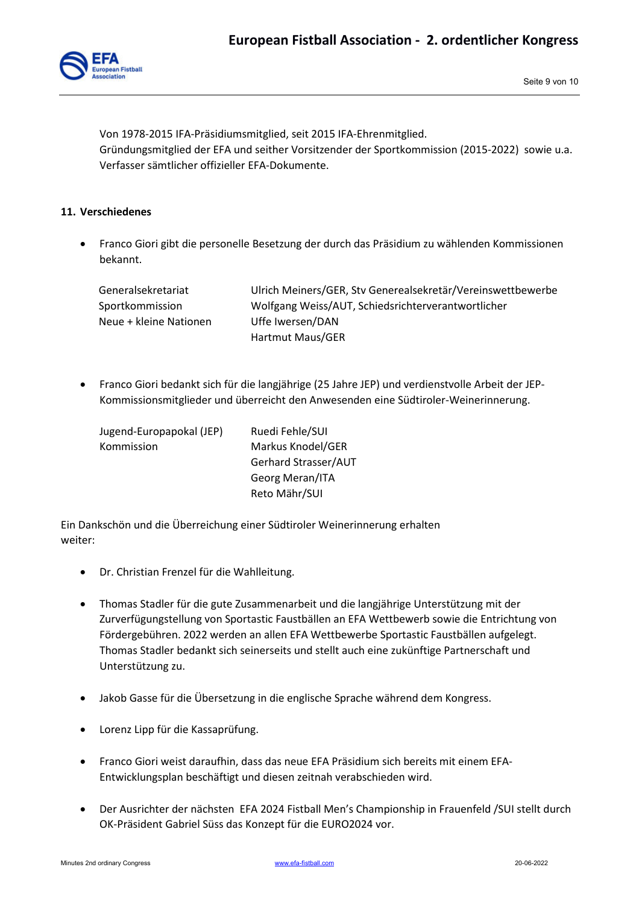

Von 1978-2015 IFA-Präsidiumsmitglied, seit 2015 IFA-Ehrenmitglied. Gründungsmitglied der EFA und seither Vorsitzender der Sportkommission (2015-2022) sowie u.a. Verfasser sämtlicher offizieller EFA-Dokumente.

## **11. Verschiedenes**

 Franco Giori gibt die personelle Besetzung der durch das Präsidium zu wählenden Kommissionen bekannt.

| Generalsekretariat     | Ulrich Meiners/GER, Stv Generealsekretär/Vereinswettbewerbe |
|------------------------|-------------------------------------------------------------|
| Sportkommission        | Wolfgang Weiss/AUT, Schiedsrichterverantwortlicher          |
| Neue + kleine Nationen | Uffe Iwersen/DAN                                            |
|                        | Hartmut Maus/GER                                            |

 Franco Giori bedankt sich für die langjährige (25 Jahre JEP) und verdienstvolle Arbeit der JEP-Kommissionsmitglieder und überreicht den Anwesenden eine Südtiroler-Weinerinnerung.

| Jugend-Europapokal (JEP) | Ruedi Fehle/SUI      |
|--------------------------|----------------------|
| Kommission               | Markus Knodel/GER    |
|                          | Gerhard Strasser/AUT |
|                          | Georg Meran/ITA      |
|                          | Reto Mähr/SUI        |

Ein Dankschön und die Überreichung einer Südtiroler Weinerinnerung erhalten weiter:

- Dr. Christian Frenzel für die Wahlleitung.
- Thomas Stadler für die gute Zusammenarbeit und die langjährige Unterstützung mit der Zurverfügungstellung von Sportastic Faustbällen an EFA Wettbewerb sowie die Entrichtung von Fördergebühren. 2022 werden an allen EFA Wettbewerbe Sportastic Faustbällen aufgelegt. Thomas Stadler bedankt sich seinerseits und stellt auch eine zukünftige Partnerschaft und Unterstützung zu.
- Jakob Gasse für die Übersetzung in die englische Sprache während dem Kongress.
- Lorenz Lipp für die Kassaprüfung.
- Franco Giori weist daraufhin, dass das neue EFA Präsidium sich bereits mit einem EFA-Entwicklungsplan beschäftigt und diesen zeitnah verabschieden wird.
- Der Ausrichter der nächsten EFA 2024 Fistball Men's Championship in Frauenfeld /SUI stellt durch OK-Präsident Gabriel Süss das Konzept für die EURO2024 vor.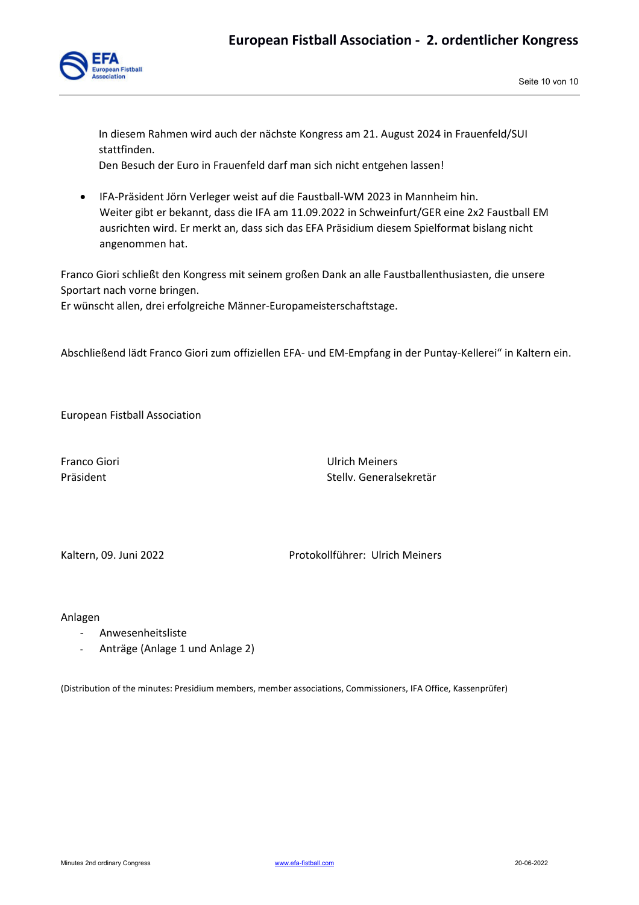

In diesem Rahmen wird auch der nächste Kongress am 21. August 2024 in Frauenfeld/SUI stattfinden. Den Besuch der Euro in Frauenfeld darf man sich nicht entgehen lassen!

 IFA-Präsident Jörn Verleger weist auf die Faustball-WM 2023 in Mannheim hin. Weiter gibt er bekannt, dass die IFA am 11.09.2022 in Schweinfurt/GER eine 2x2 Faustball EM

ausrichten wird. Er merkt an, dass sich das EFA Präsidium diesem Spielformat bislang nicht angenommen hat.

Franco Giori schließt den Kongress mit seinem großen Dank an alle Faustballenthusiasten, die unsere Sportart nach vorne bringen.

Er wünscht allen, drei erfolgreiche Männer-Europameisterschaftstage.

Abschließend lädt Franco Giori zum offiziellen EFA- und EM-Empfang in der Puntay-Kellerei" in Kaltern ein.

European Fistball Association

Franco Giori Ulrich Meiners Präsident Stellv. Generalsekretär

Kaltern, 09. Juni 2022 **Protokollführer: Ulrich Meiners** 

Anlagen

- Anwesenheitsliste
- Anträge (Anlage 1 und Anlage 2)

(Distribution of the minutes: Presidium members, member associations, Commissioners, IFA Office, Kassenprüfer)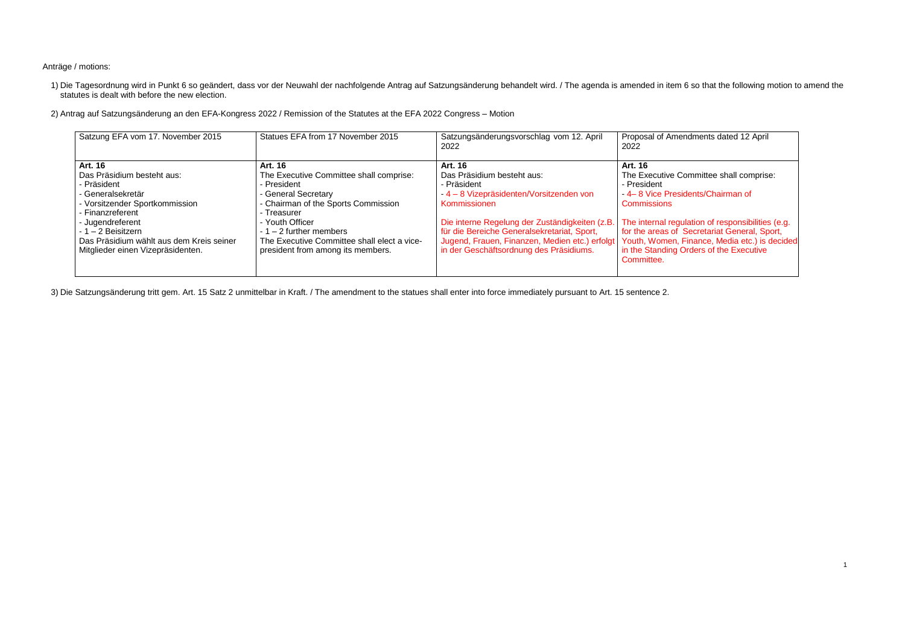Anträge / motions:

1) Die Tagesordnung wird in Punkt 6 so geändert, dass vor der Neuwahl der nachfolgende Antrag auf Satzungsänderung behandelt wird. / The agenda is amended in item 6 so that the following motion to amend the statutes is dealt with before the new election.

2) Antrag auf Satzungsänderung an den EFA-Kongress 2022 / Remission of the Statutes at the EFA 2022 Congress – Motion

3) Die Satzungsänderung tritt gem. Art. 15 Satz 2 unmittelbar in Kraft. / The amendment to the statues shall enter into force immediately pursuant to Art. 15 sentence 2.

endments dated 12 April

Committee shall comprise:

idents/Chairman of

ulation of responsibilities (e.g. Secretariat General, Sport, Finance, Media etc.) is decided **Orders of the Executive** 

|                                             | Satzungsänderungsvorschlag vom 12. April<br>2022                                                                                                            | Proposal of Amer<br>2022                                                                                                                   |
|---------------------------------------------|-------------------------------------------------------------------------------------------------------------------------------------------------------------|--------------------------------------------------------------------------------------------------------------------------------------------|
| Art. 16                                     | Art. 16                                                                                                                                                     | Art. 16                                                                                                                                    |
|                                             |                                                                                                                                                             | The Executive C<br>- President                                                                                                             |
| - General Secretary                         | -4 - 8 Vizepräsidenten/Vorsitzenden von                                                                                                                     | -4-8 Vice Presi                                                                                                                            |
|                                             | Kommissionen                                                                                                                                                | <b>Commissions</b>                                                                                                                         |
|                                             |                                                                                                                                                             | The internal regu                                                                                                                          |
|                                             |                                                                                                                                                             | for the areas of                                                                                                                           |
| The Executive Committee shall elect a vice- | Jugend, Frauen, Finanzen, Medien etc.) erfolgt                                                                                                              | Youth, Women, I                                                                                                                            |
| president from among its members.           | in der Geschäftsordnung des Präsidiums.                                                                                                                     | in the Standing C                                                                                                                          |
|                                             |                                                                                                                                                             | Committee.                                                                                                                                 |
|                                             | The Executive Committee shall comprise:<br>- President<br>- Chairman of the Sports Commission<br>- Treasurer<br>- Youth Officer<br>$-1 - 2$ further members | Das Präsidium besteht aus:<br>- Präsident<br>Die interne Regelung der Zuständigkeiten (z.B.<br>für die Bereiche Generalsekretariat, Sport, |